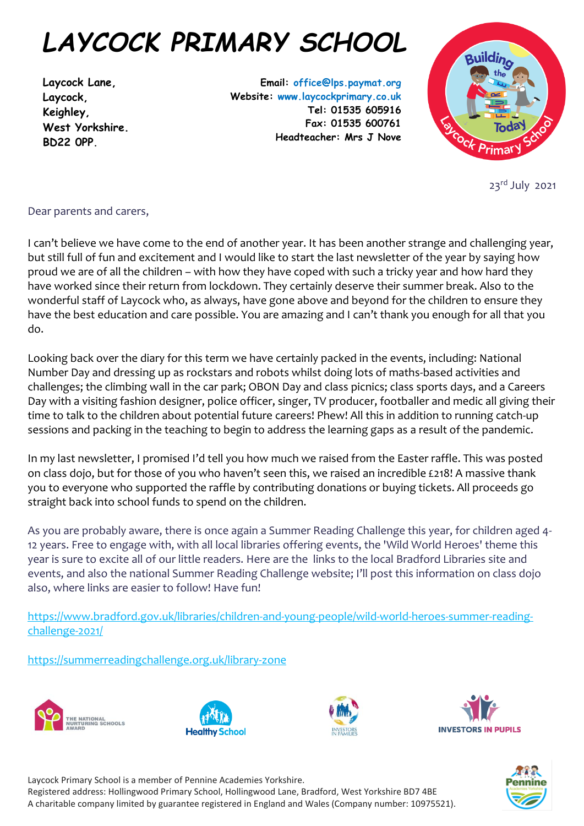## *LAYCOCK PRIMARY SCHOOL*

**Laycock Lane, Laycock, Keighley, West Yorkshire. BD22 0PP.**

**Email: office@lps.paymat.org Website: www.laycockprimary.co.uk Tel: 01535 605916 Fax: 01535 600761 Headteacher: Mrs J Nove**



23rd July 2021

## Dear parents and carers,

I can't believe we have come to the end of another year. It has been another strange and challenging year, but still full of fun and excitement and I would like to start the last newsletter of the year by saying how proud we are of all the children – with how they have coped with such a tricky year and how hard they have worked since their return from lockdown. They certainly deserve their summer break. Also to the wonderful staff of Laycock who, as always, have gone above and beyond for the children to ensure they have the best education and care possible. You are amazing and I can't thank you enough for all that you do.

Looking back over the diary for this term we have certainly packed in the events, including: National Number Day and dressing up as rockstars and robots whilst doing lots of maths-based activities and challenges; the climbing wall in the car park; OBON Day and class picnics; class sports days, and a Careers Day with a visiting fashion designer, police officer, singer, TV producer, footballer and medic all giving their time to talk to the children about potential future careers! Phew! All this in addition to running catch-up sessions and packing in the teaching to begin to address the learning gaps as a result of the pandemic.

In my last newsletter, I promised I'd tell you how much we raised from the Easter raffle. This was posted on class dojo, but for those of you who haven't seen this, we raised an incredible £218! A massive thank you to everyone who supported the raffle by contributing donations or buying tickets. All proceeds go straight back into school funds to spend on the children.

As you are probably aware, there is once again a Summer Reading Challenge this year, for children aged 4- 12 years. Free to engage with, with all local libraries offering events, the 'Wild World Heroes' theme this year is sure to excite all of our little readers. Here are the links to the local Bradford Libraries site and events, and also the national Summer Reading Challenge website; I'll post this information on class dojo also, where links are easier to follow! Have fun!

[https://www.bradford.gov.uk/libraries/children-and-young-people/wild-world-heroes-summer-reading](https://www.bradford.gov.uk/libraries/children-and-young-people/wild-world-heroes-summer-reading-challenge-2021/)[challenge-2021/](https://www.bradford.gov.uk/libraries/children-and-young-people/wild-world-heroes-summer-reading-challenge-2021/)

<https://summerreadingchallenge.org.uk/library-zone>









Laycock Primary School is a member of Pennine Academies Yorkshire.

Registered address: Hollingwood Primary School, Hollingwood Lane, Bradford, West Yorkshire BD7 4BE A charitable company limited by guarantee registered in England and Wales (Company number: 10975521).